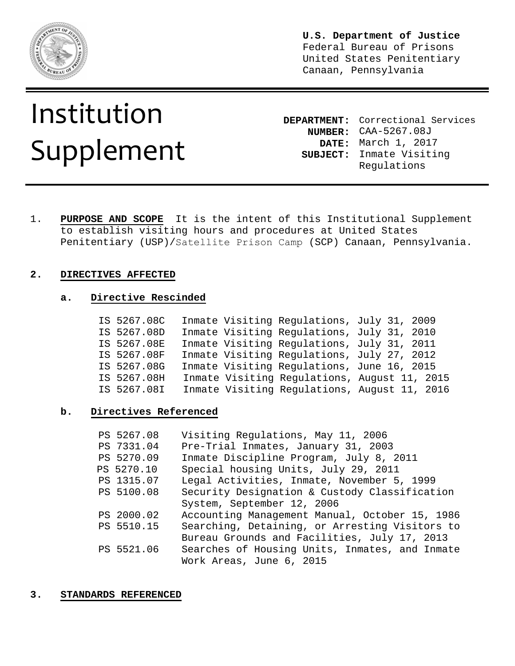

**U.S. Department of Justice**  Federal Bureau of Prisons United States Penitentiary Canaan, Pennsylvania

# Institution Supplement

**DEPARTMENT:** Correctional Services **NUMBER:** CAA-5267.08J **DATE:** March 1, 2017 **SUBJECT:** Inmate Visiting Regulations

1. **PURPOSE AND SCOPE** It is the intent of this Institutional Supplement to establish visiting hours and procedures at United States Penitentiary (USP)/Satellite Prison Camp (SCP) Canaan, Pennsylvania.

#### **2. DIRECTIVES AFFECTED**

#### **a. Directive Rescinded**

| IS 5267.08C |  | Inmate Visiting Regulations, July 31, 2009   |  |
|-------------|--|----------------------------------------------|--|
| IS 5267.08D |  | Inmate Visiting Regulations, July 31, 2010   |  |
| IS 5267.08E |  | Inmate Visiting Regulations, July 31, 2011   |  |
| IS 5267.08F |  | Inmate Visiting Regulations, July 27, 2012   |  |
| IS 5267.08G |  | Inmate Visiting Regulations, June 16, 2015   |  |
| IS 5267.08H |  | Inmate Visiting Regulations, August 11, 2015 |  |
| IS 5267.08I |  | Inmate Visiting Regulations, August 11, 2016 |  |

#### **b. Directives Referenced**

| PS 5267.08 | Visiting Regulations, May 11, 2006             |
|------------|------------------------------------------------|
| PS 7331.04 | Pre-Trial Inmates, January 31, 2003            |
| PS 5270.09 | Inmate Discipline Program, July 8, 2011        |
| PS 5270.10 | Special housing Units, July 29, 2011           |
| PS 1315.07 | Legal Activities, Inmate, November 5, 1999     |
| PS 5100.08 | Security Designation & Custody Classification  |
|            | System, September 12, 2006                     |
| PS 2000.02 | Accounting Management Manual, October 15, 1986 |
| PS 5510.15 | Searching, Detaining, or Arresting Visitors to |
|            | Bureau Grounds and Facilities, July 17, 2013   |
| PS 5521.06 | Searches of Housing Units, Inmates, and Inmate |
|            | Work Areas, June 6, 2015                       |

#### **3. STANDARDS REFERENCED**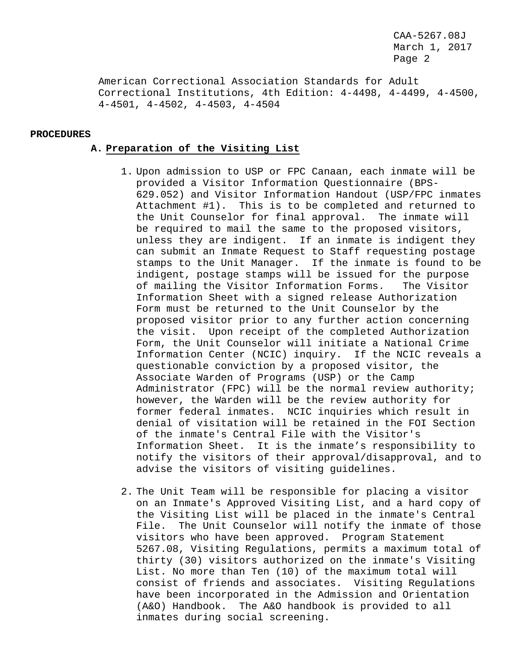American Correctional Association Standards for Adult Correctional Institutions, 4th Edition: 4-4498, 4-4499, 4-4500, 4-4501, 4-4502, 4-4503, 4-4504

#### **PROCEDURES**

#### **A. Preparation of the Visiting List**

- 1. Upon admission to USP or FPC Canaan, each inmate will be provided a Visitor Information Questionnaire (BPS-629.052) and Visitor Information Handout (USP/FPC inmates Attachment #1). This is to be completed and returned to the Unit Counselor for final approval. The inmate will be required to mail the same to the proposed visitors, unless they are indigent. If an inmate is indigent they can submit an Inmate Request to Staff requesting postage stamps to the Unit Manager. If the inmate is found to be indigent, postage stamps will be issued for the purpose of mailing the Visitor Information Forms. The Visitor Information Sheet with a signed release Authorization Form must be returned to the Unit Counselor by the proposed visitor prior to any further action concerning the visit. Upon receipt of the completed Authorization Form, the Unit Counselor will initiate a National Crime Information Center (NCIC) inquiry. If the NCIC reveals a questionable conviction by a proposed visitor, the Associate Warden of Programs (USP) or the Camp Administrator (FPC) will be the normal review authority; however, the Warden will be the review authority for former federal inmates. NCIC inquiries which result in denial of visitation will be retained in the FOI Section of the inmate's Central File with the Visitor's Information Sheet. It is the inmate's responsibility to notify the visitors of their approval/disapproval, and to advise the visitors of visiting guidelines.
- 2. The Unit Team will be responsible for placing a visitor on an Inmate's Approved Visiting List, and a hard copy of the Visiting List will be placed in the inmate's Central File. The Unit Counselor will notify the inmate of those visitors who have been approved. Program Statement 5267.08, Visiting Regulations, permits a maximum total of thirty (30) visitors authorized on the inmate's Visiting List. No more than Ten (10) of the maximum total will consist of friends and associates. Visiting Regulations have been incorporated in the Admission and Orientation (A&O) Handbook. The A&O handbook is provided to all inmates during social screening.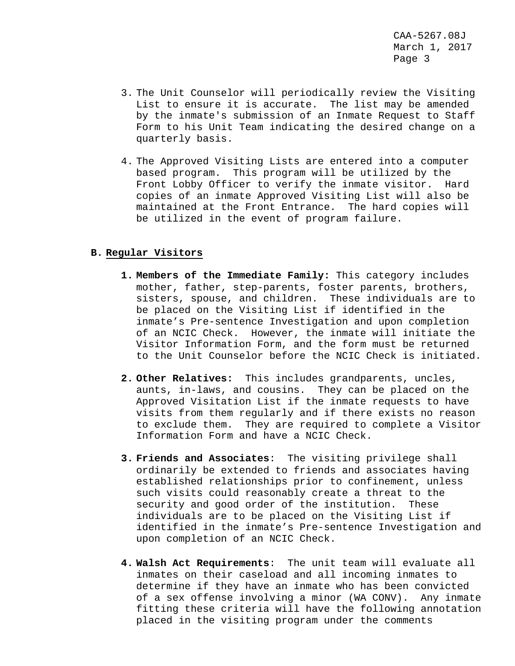- 3. The Unit Counselor will periodically review the Visiting List to ensure it is accurate. The list may be amended by the inmate's submission of an Inmate Request to Staff Form to his Unit Team indicating the desired change on a quarterly basis.
- 4. The Approved Visiting Lists are entered into a computer based program. This program will be utilized by the Front Lobby Officer to verify the inmate visitor. Hard copies of an inmate Approved Visiting List will also be maintained at the Front Entrance. The hard copies will be utilized in the event of program failure.

#### **B. Regular Visitors**

- **1. Members of the Immediate Family:** This category includes mother, father, step-parents, foster parents, brothers, sisters, spouse, and children. These individuals are to be placed on the Visiting List if identified in the inmate's Pre-sentence Investigation and upon completion of an NCIC Check. However, the inmate will initiate the Visitor Information Form, and the form must be returned to the Unit Counselor before the NCIC Check is initiated.
- **2. Other Relatives:** This includes grandparents, uncles, aunts, in-laws, and cousins. They can be placed on the Approved Visitation List if the inmate requests to have visits from them regularly and if there exists no reason to exclude them. They are required to complete a Visitor Information Form and have a NCIC Check.
- **3. Friends and Associates**: The visiting privilege shall ordinarily be extended to friends and associates having established relationships prior to confinement, unless such visits could reasonably create a threat to the security and good order of the institution. These individuals are to be placed on the Visiting List if identified in the inmate's Pre-sentence Investigation and upon completion of an NCIC Check.
- **4. Walsh Act Requirements**: The unit team will evaluate all inmates on their caseload and all incoming inmates to determine if they have an inmate who has been convicted of a sex offense involving a minor (WA CONV). Any inmate fitting these criteria will have the following annotation placed in the visiting program under the comments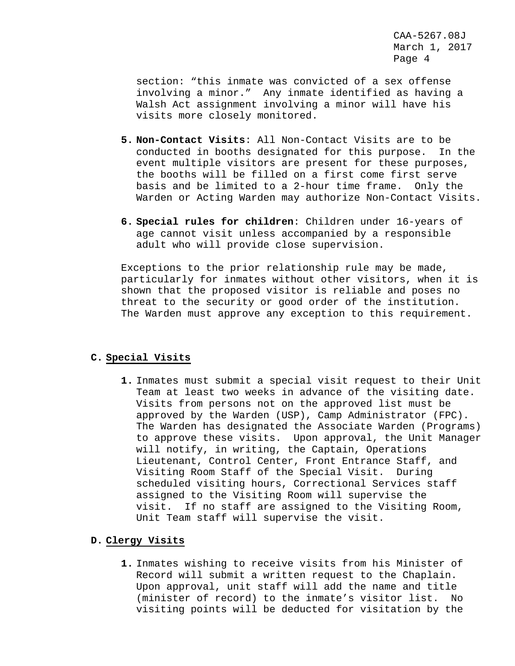section: "this inmate was convicted of a sex offense involving a minor." Any inmate identified as having a Walsh Act assignment involving a minor will have his visits more closely monitored.

- **5. Non-Contact Visits**: All Non-Contact Visits are to be conducted in booths designated for this purpose. In the event multiple visitors are present for these purposes, the booths will be filled on a first come first serve basis and be limited to a 2-hour time frame. Only the Warden or Acting Warden may authorize Non-Contact Visits.
- **6. Special rules for children**: Children under 16-years of age cannot visit unless accompanied by a responsible adult who will provide close supervision.

Exceptions to the prior relationship rule may be made, particularly for inmates without other visitors, when it is shown that the proposed visitor is reliable and poses no threat to the security or good order of the institution. The Warden must approve any exception to this requirement.

#### **C. Special Visits**

**1.** Inmates must submit a special visit request to their Unit Team at least two weeks in advance of the visiting date. Visits from persons not on the approved list must be approved by the Warden (USP), Camp Administrator (FPC). The Warden has designated the Associate Warden (Programs) to approve these visits. Upon approval, the Unit Manager will notify, in writing, the Captain, Operations Lieutenant, Control Center, Front Entrance Staff, and Visiting Room Staff of the Special Visit. During scheduled visiting hours, Correctional Services staff assigned to the Visiting Room will supervise the visit. If no staff are assigned to the Visiting Room, Unit Team staff will supervise the visit.

#### **D. Clergy Visits**

**1.** Inmates wishing to receive visits from his Minister of Record will submit a written request to the Chaplain. Upon approval, unit staff will add the name and title (minister of record) to the inmate's visitor list. No visiting points will be deducted for visitation by the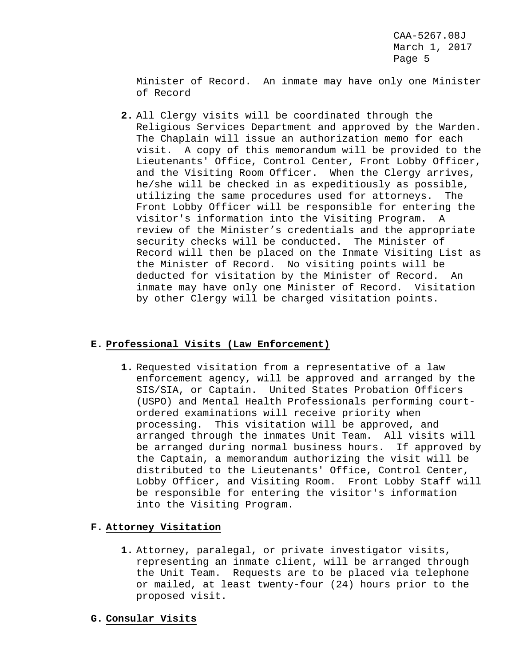Minister of Record. An inmate may have only one Minister of Record

**2.** All Clergy visits will be coordinated through the Religious Services Department and approved by the Warden. The Chaplain will issue an authorization memo for each visit. A copy of this memorandum will be provided to the Lieutenants' Office, Control Center, Front Lobby Officer, and the Visiting Room Officer. When the Clergy arrives, he/she will be checked in as expeditiously as possible, utilizing the same procedures used for attorneys. The Front Lobby Officer will be responsible for entering the visitor's information into the Visiting Program. A review of the Minister's credentials and the appropriate security checks will be conducted. The Minister of Record will then be placed on the Inmate Visiting List as the Minister of Record. No visiting points will be deducted for visitation by the Minister of Record. An inmate may have only one Minister of Record. Visitation by other Clergy will be charged visitation points.

# **E. Professional Visits (Law Enforcement)**

**1.** Requested visitation from a representative of a law enforcement agency, will be approved and arranged by the SIS/SIA, or Captain. United States Probation Officers (USPO) and Mental Health Professionals performing courtordered examinations will receive priority when processing. This visitation will be approved, and arranged through the inmates Unit Team. All visits will be arranged during normal business hours. If approved by the Captain, a memorandum authorizing the visit will be distributed to the Lieutenants' Office, Control Center, Lobby Officer, and Visiting Room. Front Lobby Staff will be responsible for entering the visitor's information into the Visiting Program.

# **F. Attorney Visitation**

- **1.** Attorney, paralegal, or private investigator visits, representing an inmate client, will be arranged through the Unit Team. Requests are to be placed via telephone or mailed, at least twenty-four (24) hours prior to the proposed visit.
- **G. Consular Visits**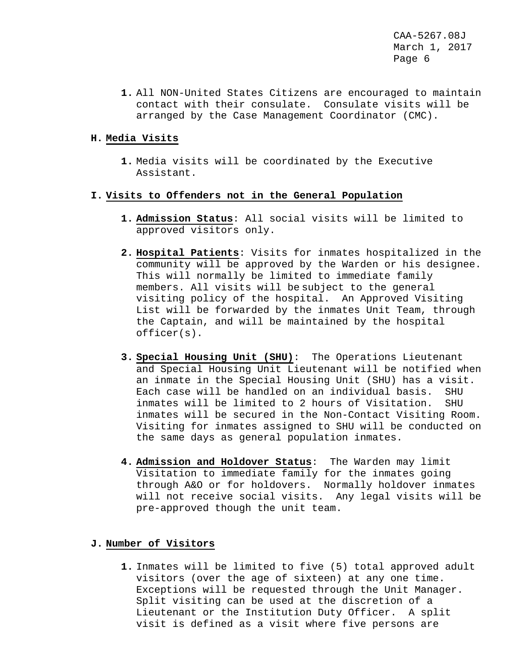**1.** All NON-United States Citizens are encouraged to maintain contact with their consulate. Consulate visits will be arranged by the Case Management Coordinator (CMC).

## **H. Media Visits**

**1.** Media visits will be coordinated by the Executive Assistant.

#### **I. Visits to Offenders not in the General Population**

- **1. Admission Status**: All social visits will be limited to approved visitors only.
- **2. Hospital Patients**: Visits for inmates hospitalized in the community will be approved by the Warden or his designee. This will normally be limited to immediate family members. All visits will be subject to the general visiting policy of the hospital. An Approved Visiting List will be forwarded by the inmates Unit Team, through the Captain, and will be maintained by the hospital officer(s).
- **3. Special Housing Unit (SHU)**: The Operations Lieutenant and Special Housing Unit Lieutenant will be notified when an inmate in the Special Housing Unit (SHU) has a visit. Each case will be handled on an individual basis. SHU<br>inmates will be limited to 2 hours of Visitation. SHU inmates will be limited to 2 hours of Visitation. inmates will be secured in the Non-Contact Visiting Room. Visiting for inmates assigned to SHU will be conducted on the same days as general population inmates.
- **4. Admission and Holdover Status**: The Warden may limit Visitation to immediate family for the inmates going through A&O or for holdovers. Normally holdover inmates will not receive social visits. Any legal visits will be pre-approved though the unit team.

#### **J. Number of Visitors**

**1.** Inmates will be limited to five (5) total approved adult visitors (over the age of sixteen) at any one time. Exceptions will be requested through the Unit Manager. Split visiting can be used at the discretion of a Lieutenant or the Institution Duty Officer. A split visit is defined as a visit where five persons are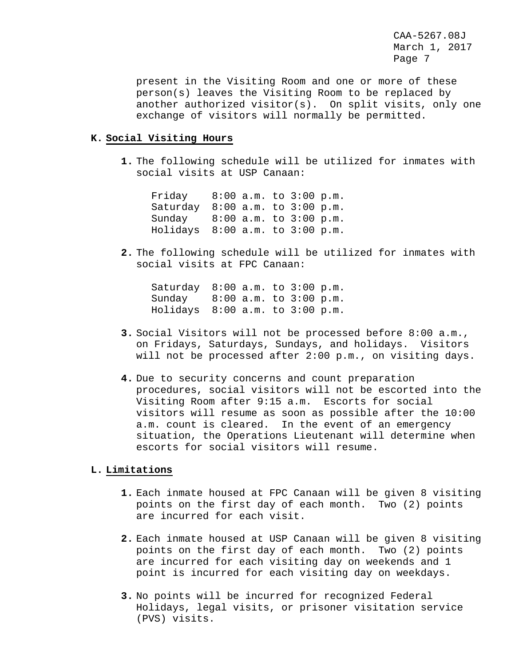present in the Visiting Room and one or more of these person(s) leaves the Visiting Room to be replaced by another authorized visitor(s). On split visits, only one exchange of visitors will normally be permitted.

## **K. Social Visiting Hours**

**1.** The following schedule will be utilized for inmates with social visits at USP Canaan:

Friday 8:00 a.m. to 3:00 p.m. Saturday 8:00 a.m. to 3:00 p.m. Sunday 8:00 a.m. to 3:00 p.m. Holidays 8:00 a.m. to 3:00 p.m.

**2.** The following schedule will be utilized for inmates with social visits at FPC Canaan:

Saturday 8:00 a.m. to 3:00 p.m. Sunday 8:00 a.m. to 3:00 p.m. Holidays 8:00 a.m. to 3:00 p.m.

- **3.** Social Visitors will not be processed before 8:00 a.m., on Fridays, Saturdays, Sundays, and holidays. Visitors will not be processed after 2:00 p.m., on visiting days.
- **4.** Due to security concerns and count preparation procedures, social visitors will not be escorted into the Visiting Room after 9:15 a.m. Escorts for social visitors will resume as soon as possible after the 10:00 a.m. count is cleared. In the event of an emergency situation, the Operations Lieutenant will determine when escorts for social visitors will resume.

#### **L. Limitations**

- **1.** Each inmate housed at FPC Canaan will be given 8 visiting points on the first day of each month. Two (2) points are incurred for each visit.
- **2.** Each inmate housed at USP Canaan will be given 8 visiting points on the first day of each month. Two (2) points are incurred for each visiting day on weekends and 1 point is incurred for each visiting day on weekdays.
- **3.** No points will be incurred for recognized Federal Holidays, legal visits, or prisoner visitation service (PVS) visits.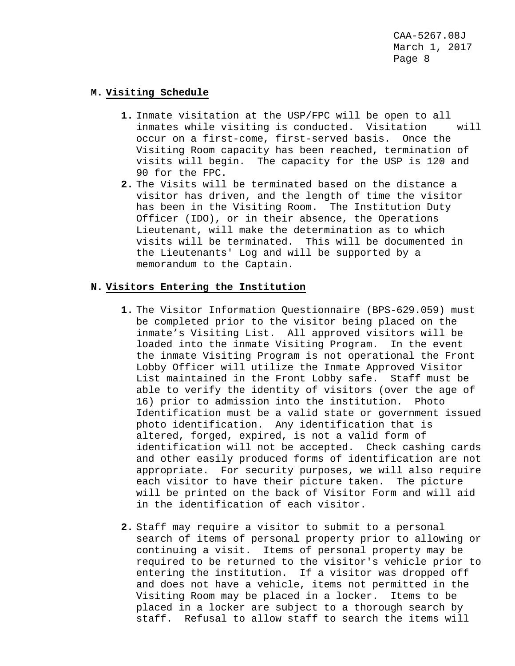#### **M. Visiting Schedule**

- **1.** Inmate visitation at the USP/FPC will be open to all inmates while visiting is conducted. Visitation occur on a first-come, first-served basis. Once the Visiting Room capacity has been reached, termination of visits will begin. The capacity for the USP is 120 and 90 for the FPC.
- **2.** The Visits will be terminated based on the distance a visitor has driven, and the length of time the visitor has been in the Visiting Room. The Institution Duty Officer (IDO), or in their absence, the Operations Lieutenant, will make the determination as to which visits will be terminated. This will be documented in the Lieutenants' Log and will be supported by a memorandum to the Captain.

#### **N. Visitors Entering the Institution**

- **1.** The Visitor Information Questionnaire (BPS-629.059) must be completed prior to the visitor being placed on the inmate's Visiting List. All approved visitors will be loaded into the inmate Visiting Program. In the event the inmate Visiting Program is not operational the Front Lobby Officer will utilize the Inmate Approved Visitor List maintained in the Front Lobby safe. Staff must be able to verify the identity of visitors (over the age of 16) prior to admission into the institution. Photo Identification must be a valid state or government issued photo identification. Any identification that is altered, forged, expired, is not a valid form of identification will not be accepted. Check cashing cards and other easily produced forms of identification are not appropriate. For security purposes, we will also require each visitor to have their picture taken. The picture will be printed on the back of Visitor Form and will aid in the identification of each visitor.
- **2.** Staff may require a visitor to submit to a personal search of items of personal property prior to allowing or continuing a visit. Items of personal property may be required to be returned to the visitor's vehicle prior to entering the institution. If a visitor was dropped off and does not have a vehicle, items not permitted in the Visiting Room may be placed in a locker. Items to be placed in a locker are subject to a thorough search by staff. Refusal to allow staff to search the items will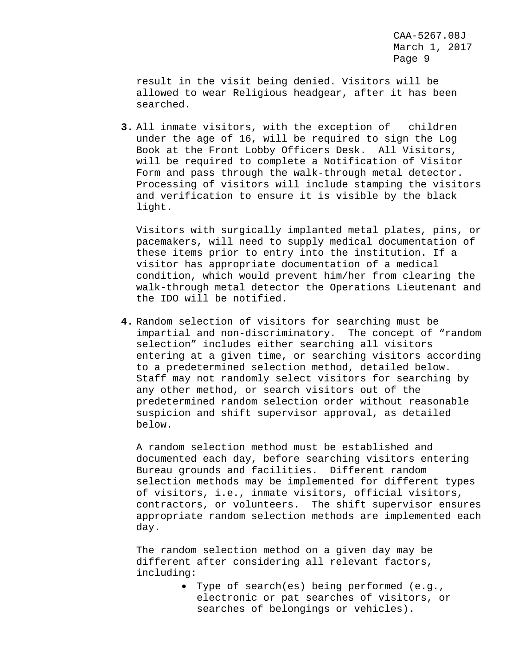result in the visit being denied. Visitors will be allowed to wear Religious headgear, after it has been searched.

**3.** All inmate visitors, with the exception of children under the age of 16, will be required to sign the Log Book at the Front Lobby Officers Desk. All Visitors, will be required to complete a Notification of Visitor Form and pass through the walk-through metal detector. Processing of visitors will include stamping the visitors and verification to ensure it is visible by the black light.

Visitors with surgically implanted metal plates, pins, or pacemakers, will need to supply medical documentation of these items prior to entry into the institution. If a visitor has appropriate documentation of a medical condition, which would prevent him/her from clearing the walk-through metal detector the Operations Lieutenant and the IDO will be notified.

**4.** Random selection of visitors for searching must be impartial and non-discriminatory. The concept of "random selection" includes either searching all visitors entering at a given time, or searching visitors according to a predetermined selection method, detailed below. Staff may not randomly select visitors for searching by any other method, or search visitors out of the predetermined random selection order without reasonable suspicion and shift supervisor approval, as detailed below.

A random selection method must be established and documented each day, before searching visitors entering Bureau grounds and facilities. Different random selection methods may be implemented for different types of visitors, i.e., inmate visitors, official visitors, contractors, or volunteers. The shift supervisor ensures appropriate random selection methods are implemented each day.

The random selection method on a given day may be different after considering all relevant factors, including:

> • Type of search(es) being performed (e.g., electronic or pat searches of visitors, or searches of belongings or vehicles).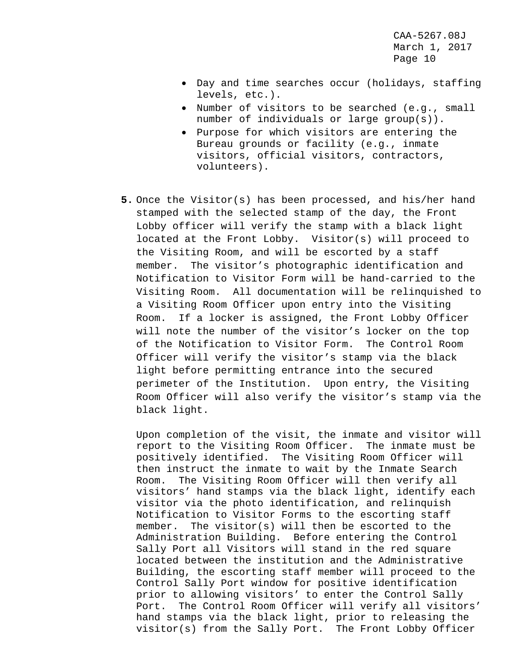- Day and time searches occur (holidays, staffing levels, etc.).
- Number of visitors to be searched (e.g., small number of individuals or large group(s)).
- Purpose for which visitors are entering the Bureau grounds or facility (e.g., inmate visitors, official visitors, contractors, volunteers).
- **5.** Once the Visitor(s) has been processed, and his/her hand stamped with the selected stamp of the day, the Front Lobby officer will verify the stamp with a black light located at the Front Lobby. Visitor(s) will proceed to the Visiting Room, and will be escorted by a staff member. The visitor's photographic identification and Notification to Visitor Form will be hand-carried to the Visiting Room. All documentation will be relinquished to a Visiting Room Officer upon entry into the Visiting Room. If a locker is assigned, the Front Lobby Officer will note the number of the visitor's locker on the top of the Notification to Visitor Form. The Control Room Officer will verify the visitor's stamp via the black light before permitting entrance into the secured perimeter of the Institution. Upon entry, the Visiting Room Officer will also verify the visitor's stamp via the black light.

Upon completion of the visit, the inmate and visitor will report to the Visiting Room Officer. The inmate must be positively identified. The Visiting Room Officer will then instruct the inmate to wait by the Inmate Search Room. The Visiting Room Officer will then verify all visitors' hand stamps via the black light, identify each visitor via the photo identification, and relinquish Notification to Visitor Forms to the escorting staff member. The visitor(s) will then be escorted to the Administration Building. Before entering the Control Sally Port all Visitors will stand in the red square located between the institution and the Administrative Building, the escorting staff member will proceed to the Control Sally Port window for positive identification prior to allowing visitors' to enter the Control Sally Port. The Control Room Officer will verify all visitors' hand stamps via the black light, prior to releasing the visitor(s) from the Sally Port. The Front Lobby Officer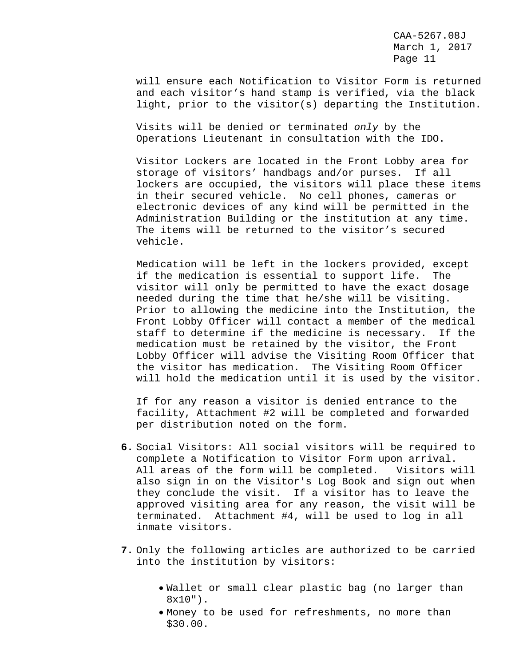will ensure each Notification to Visitor Form is returned and each visitor's hand stamp is verified, via the black light, prior to the visitor(s) departing the Institution.

Visits will be denied or terminated *only* by the Operations Lieutenant in consultation with the IDO.

Visitor Lockers are located in the Front Lobby area for storage of visitors' handbags and/or purses. If all lockers are occupied, the visitors will place these items in their secured vehicle. No cell phones, cameras or electronic devices of any kind will be permitted in the Administration Building or the institution at any time. The items will be returned to the visitor's secured vehicle.

Medication will be left in the lockers provided, except if the medication is essential to support life. The visitor will only be permitted to have the exact dosage needed during the time that he/she will be visiting. Prior to allowing the medicine into the Institution, the Front Lobby Officer will contact a member of the medical staff to determine if the medicine is necessary. If the medication must be retained by the visitor, the Front Lobby Officer will advise the Visiting Room Officer that the visitor has medication. The Visiting Room Officer will hold the medication until it is used by the visitor.

If for any reason a visitor is denied entrance to the facility, Attachment #2 will be completed and forwarded per distribution noted on the form.

- **6.** Social Visitors: All social visitors will be required to complete a Notification to Visitor Form upon arrival. All areas of the form will be completed. Visitors will also sign in on the Visitor's Log Book and sign out when they conclude the visit. If a visitor has to leave the approved visiting area for any reason, the visit will be terminated. Attachment #4, will be used to log in all inmate visitors.
- **7.** Only the following articles are authorized to be carried into the institution by visitors:
	- Wallet or small clear plastic bag (no larger than  $8x10"$ .
	- Money to be used for refreshments, no more than \$30.00.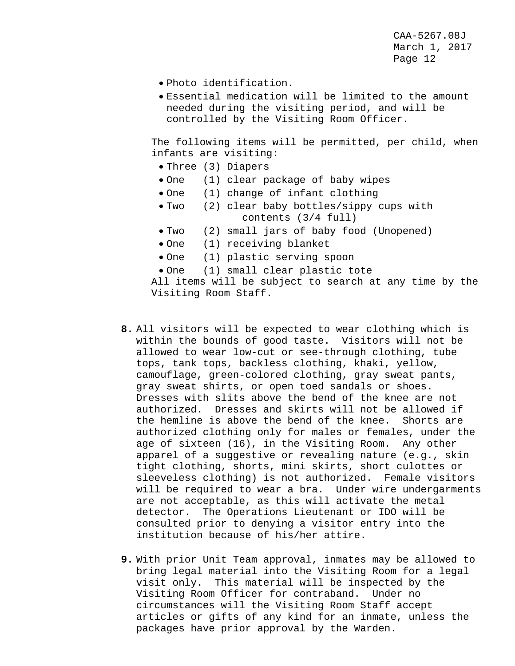- Photo identification.
- Essential medication will be limited to the amount needed during the visiting period, and will be controlled by the Visiting Room Officer.

The following items will be permitted, per child, when infants are visiting:

- Three (3) Diapers
- One (1) clear package of baby wipes
- One (1) change of infant clothing
- Two (2) clear baby bottles/sippy cups with contents (3/4 full)
- Two (2) small jars of baby food (Unopened)
- One (1) receiving blanket
- One (1) plastic serving spoon
- One (1) small clear plastic tote

All items will be subject to search at any time by the Visiting Room Staff.

- **8.** All visitors will be expected to wear clothing which is within the bounds of good taste. Visitors will not be allowed to wear low-cut or see-through clothing, tube tops, tank tops, backless clothing, khaki, yellow, camouflage, green-colored clothing, gray sweat pants, gray sweat shirts, or open toed sandals or shoes. Dresses with slits above the bend of the knee are not authorized. Dresses and skirts will not be allowed if the hemline is above the bend of the knee. Shorts are authorized clothing only for males or females, under the age of sixteen (16), in the Visiting Room. Any other apparel of a suggestive or revealing nature (e.g., skin tight clothing, shorts, mini skirts, short culottes or sleeveless clothing) is not authorized. Female visitors will be required to wear a bra. Under wire undergarments are not acceptable, as this will activate the metal detector. The Operations Lieutenant or IDO will be consulted prior to denying a visitor entry into the institution because of his/her attire.
- **9.** With prior Unit Team approval, inmates may be allowed to bring legal material into the Visiting Room for a legal visit only. This material will be inspected by the Visiting Room Officer for contraband. Under no circumstances will the Visiting Room Staff accept articles or gifts of any kind for an inmate, unless the packages have prior approval by the Warden.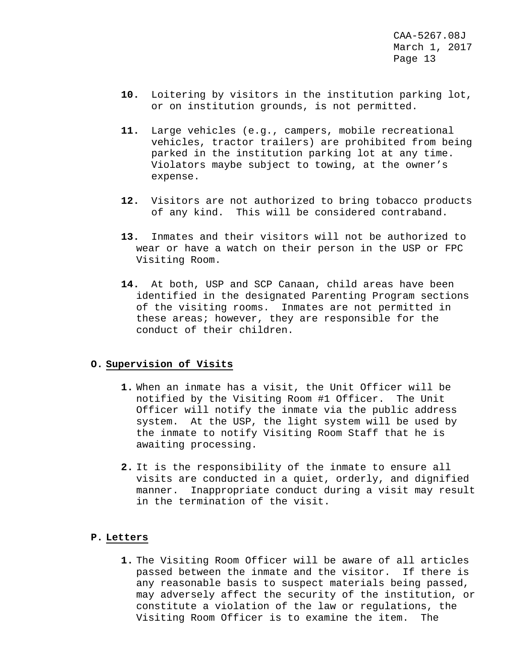- **10.** Loitering by visitors in the institution parking lot, or on institution grounds, is not permitted.
- **11.** Large vehicles (e.g., campers, mobile recreational vehicles, tractor trailers) are prohibited from being parked in the institution parking lot at any time. Violators maybe subject to towing, at the owner's expense.
- **12.** Visitors are not authorized to bring tobacco products of any kind. This will be considered contraband.
- **13.** Inmates and their visitors will not be authorized to wear or have a watch on their person in the USP or FPC Visiting Room.
- **14.** At both, USP and SCP Canaan, child areas have been identified in the designated Parenting Program sections of the visiting rooms. Inmates are not permitted in these areas; however, they are responsible for the conduct of their children.

#### **O. Supervision of Visits**

- **1.** When an inmate has a visit, the Unit Officer will be notified by the Visiting Room #1 Officer. The Unit Officer will notify the inmate via the public address system. At the USP, the light system will be used by the inmate to notify Visiting Room Staff that he is awaiting processing.
- **2.** It is the responsibility of the inmate to ensure all visits are conducted in a quiet, orderly, and dignified Inappropriate conduct during a visit may result in the termination of the visit.

#### **P. Letters**

**1.** The Visiting Room Officer will be aware of all articles passed between the inmate and the visitor. If there is any reasonable basis to suspect materials being passed, may adversely affect the security of the institution, or constitute a violation of the law or regulations, the Visiting Room Officer is to examine the item. The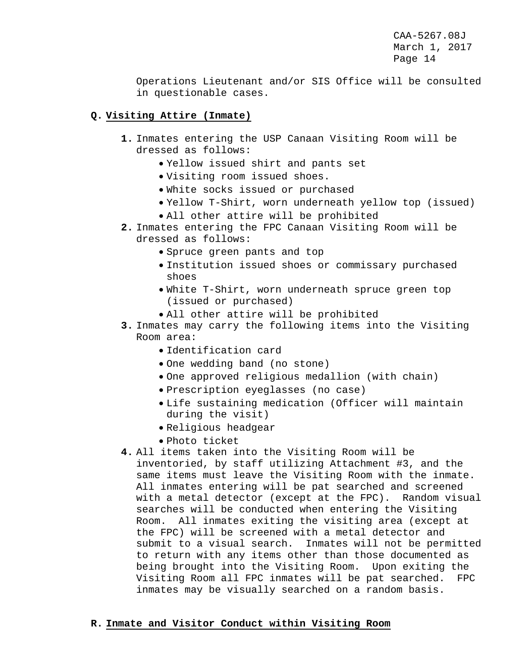Operations Lieutenant and/or SIS Office will be consulted in questionable cases.

# **Q. Visiting Attire (Inmate)**

- **1.** Inmates entering the USP Canaan Visiting Room will be dressed as follows:
	- Yellow issued shirt and pants set
	- Visiting room issued shoes.
	- White socks issued or purchased
	- Yellow T-Shirt, worn underneath yellow top (issued)
	- All other attire will be prohibited
- **2.** Inmates entering the FPC Canaan Visiting Room will be dressed as follows:
	- Spruce green pants and top
	- Institution issued shoes or commissary purchased shoes
	- White T-Shirt, worn underneath spruce green top (issued or purchased)
	- All other attire will be prohibited
- **3.** Inmates may carry the following items into the Visiting Room area:
	- Identification card
	- One wedding band (no stone)
	- One approved religious medallion (with chain)
	- Prescription eyeglasses (no case)
	- Life sustaining medication (Officer will maintain during the visit)
	- Religious headgear
	- Photo ticket
- **4.** All items taken into the Visiting Room will be inventoried, by staff utilizing Attachment #3, and the same items must leave the Visiting Room with the inmate. All inmates entering will be pat searched and screened with a metal detector (except at the FPC). Random visual searches will be conducted when entering the Visiting Room. All inmates exiting the visiting area (except at the FPC) will be screened with a metal detector and submit to a visual search. Inmates will not be permitted to return with any items other than those documented as being brought into the Visiting Room. Upon exiting the Visiting Room all FPC inmates will be pat searched. FPC inmates may be visually searched on a random basis.

#### **R. Inmate and Visitor Conduct within Visiting Room**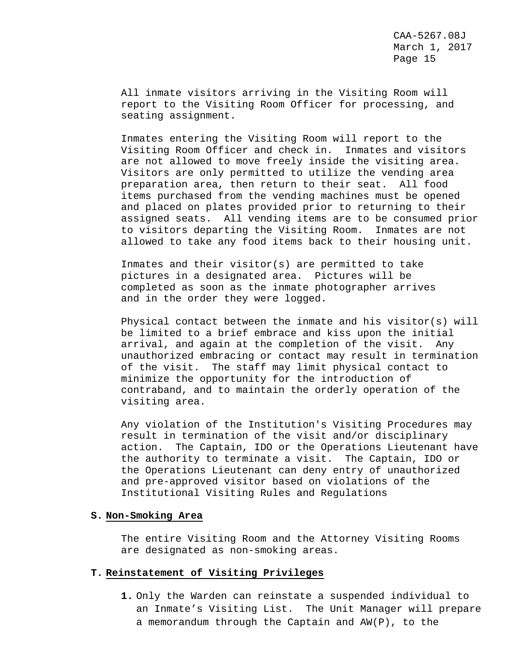All inmate visitors arriving in the Visiting Room will report to the Visiting Room Officer for processing, and seating assignment.

Inmates entering the Visiting Room will report to the Visiting Room Officer and check in. Inmates and visitors are not allowed to move freely inside the visiting area. Visitors are only permitted to utilize the vending area preparation area, then return to their seat. All food items purchased from the vending machines must be opened and placed on plates provided prior to returning to their assigned seats. All vending items are to be consumed prior to visitors departing the Visiting Room. Inmates are not allowed to take any food items back to their housing unit.

Inmates and their visitor(s) are permitted to take pictures in a designated area. Pictures will be completed as soon as the inmate photographer arrives and in the order they were logged.

Physical contact between the inmate and his visitor(s) will be limited to a brief embrace and kiss upon the initial arrival, and again at the completion of the visit. Any unauthorized embracing or contact may result in termination of the visit. The staff may limit physical contact to minimize the opportunity for the introduction of contraband, and to maintain the orderly operation of the visiting area.

Any violation of the Institution's Visiting Procedures may result in termination of the visit and/or disciplinary action. The Captain, IDO or the Operations Lieutenant have the authority to terminate a visit. The Captain, IDO or the Operations Lieutenant can deny entry of unauthorized and pre-approved visitor based on violations of the Institutional Visiting Rules and Regulations

#### **S. Non-Smoking Area**

The entire Visiting Room and the Attorney Visiting Rooms are designated as non-smoking areas.

#### **T. Reinstatement of Visiting Privileges**

**1.** Only the Warden can reinstate a suspended individual to an Inmate's Visiting List. The Unit Manager will prepare a memorandum through the Captain and AW(P), to the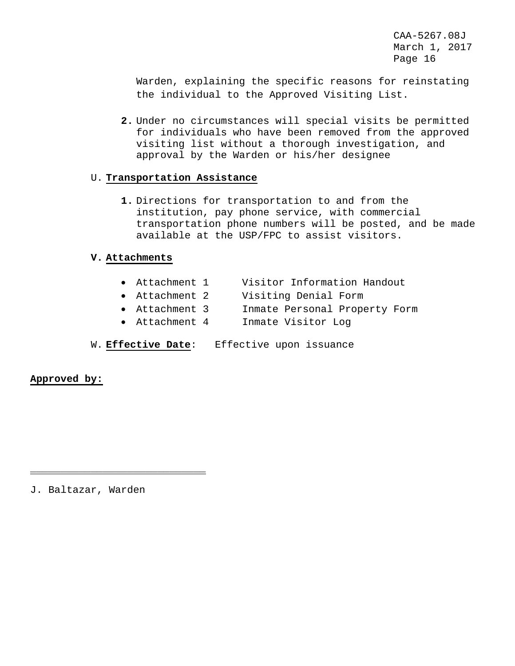Warden, explaining the specific reasons for reinstating the individual to the Approved Visiting List.

**2.** Under no circumstances will special visits be permitted for individuals who have been removed from the approved visiting list without a thorough investigation, and approval by the Warden or his/her designee

# U. **Transportation Assistance**

**1.** Directions for transportation to and from the institution, pay phone service, with commercial transportation phone numbers will be posted, and be made available at the USP/FPC to assist visitors.

# **V. Attachments**

- Attachment 1 Visitor Information Handout
- Attachment 2 Visiting Denial Form
- Attachment 3 Inmate Personal Property Form
- Attachment 4 Inmate Visitor Log
- W. **Effective Date**: Effective upon issuance

**Approved by:**

J. Baltazar, Warden

\_\_\_\_\_\_\_\_\_\_\_\_\_\_\_\_\_\_\_\_\_\_\_\_\_\_\_\_\_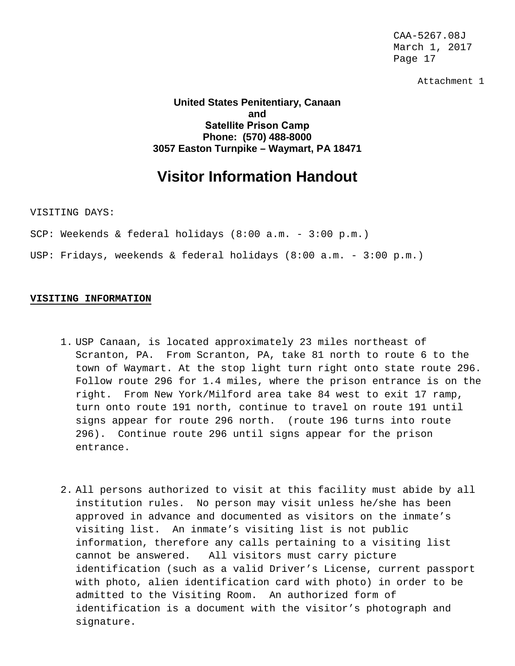Attachment 1

**United States Penitentiary, Canaan and Satellite Prison Camp Phone: (570) 488-8000 3057 Easton Turnpike – Waymart, PA 18471**

# **Visitor Information Handout**

VISITING DAYS:

SCP: Weekends & federal holidays (8:00 a.m. - 3:00 p.m.)

USP: Fridays, weekends & federal holidays (8:00 a.m. - 3:00 p.m.)

#### **VISITING INFORMATION**

- 1. USP Canaan, is located approximately 23 miles northeast of Scranton, PA. From Scranton, PA, take 81 north to route 6 to the town of Waymart. At the stop light turn right onto state route 296. Follow route 296 for 1.4 miles, where the prison entrance is on the right. From New York/Milford area take 84 west to exit 17 ramp, turn onto route 191 north, continue to travel on route 191 until signs appear for route 296 north. (route 196 turns into route 296). Continue route 296 until signs appear for the prison entrance.
- 2. All persons authorized to visit at this facility must abide by all institution rules. No person may visit unless he/she has been approved in advance and documented as visitors on the inmate's visiting list. An inmate's visiting list is not public information, therefore any calls pertaining to a visiting list cannot be answered. All visitors must carry picture identification (such as a valid Driver's License, current passport with photo, alien identification card with photo) in order to be admitted to the Visiting Room. An authorized form of identification is a document with the visitor's photograph and signature.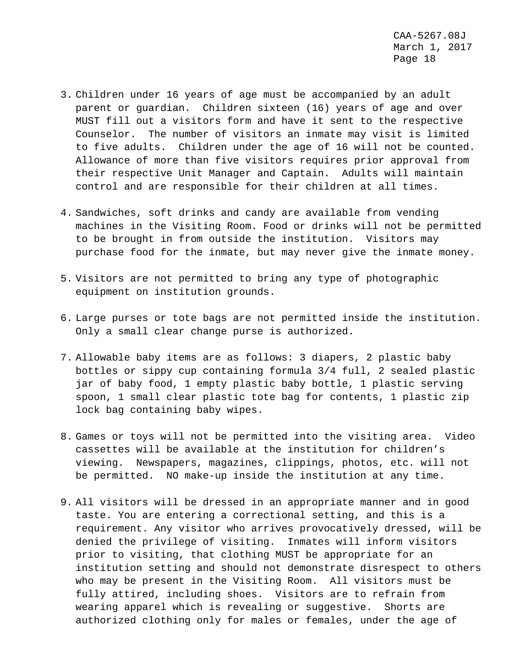- 3. Children under 16 years of age must be accompanied by an adult parent or guardian. Children sixteen (16) years of age and over MUST fill out a visitors form and have it sent to the respective Counselor. The number of visitors an inmate may visit is limited to five adults. Children under the age of 16 will not be counted. Allowance of more than five visitors requires prior approval from their respective Unit Manager and Captain. Adults will maintain control and are responsible for their children at all times.
- 4. Sandwiches, soft drinks and candy are available from vending machines in the Visiting Room. Food or drinks will not be permitted to be brought in from outside the institution. Visitors may purchase food for the inmate, but may never give the inmate money.
- 5. Visitors are not permitted to bring any type of photographic equipment on institution grounds.
- 6. Large purses or tote bags are not permitted inside the institution. Only a small clear change purse is authorized.
- 7. Allowable baby items are as follows: 3 diapers, 2 plastic baby bottles or sippy cup containing formula 3/4 full, 2 sealed plastic jar of baby food, 1 empty plastic baby bottle, 1 plastic serving spoon, 1 small clear plastic tote bag for contents, 1 plastic zip lock bag containing baby wipes.
- 8. Games or toys will not be permitted into the visiting area. Video cassettes will be available at the institution for children's viewing. Newspapers, magazines, clippings, photos, etc. will not be permitted. NO make-up inside the institution at any time.
- 9. All visitors will be dressed in an appropriate manner and in good taste. You are entering a correctional setting, and this is a requirement. Any visitor who arrives provocatively dressed, will be denied the privilege of visiting. Inmates will inform visitors prior to visiting, that clothing MUST be appropriate for an institution setting and should not demonstrate disrespect to others who may be present in the Visiting Room. All visitors must be fully attired, including shoes. Visitors are to refrain from wearing apparel which is revealing or suggestive. Shorts are authorized clothing only for males or females, under the age of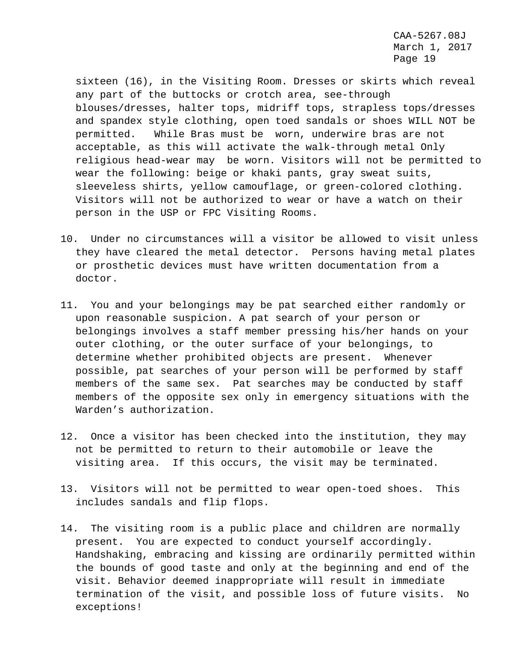sixteen (16), in the Visiting Room. Dresses or skirts which reveal any part of the buttocks or crotch area, see-through blouses/dresses, halter tops, midriff tops, strapless tops/dresses and spandex style clothing, open toed sandals or shoes WILL NOT be permitted. While Bras must be worn, underwire bras are not acceptable, as this will activate the walk-through metal Only religious head-wear may be worn. Visitors will not be permitted to wear the following: beige or khaki pants, gray sweat suits, sleeveless shirts, yellow camouflage, or green-colored clothing. Visitors will not be authorized to wear or have a watch on their person in the USP or FPC Visiting Rooms.

- 10. Under no circumstances will a visitor be allowed to visit unless they have cleared the metal detector. Persons having metal plates or prosthetic devices must have written documentation from a doctor.
- 11. You and your belongings may be pat searched either randomly or upon reasonable suspicion. A pat search of your person or belongings involves a staff member pressing his/her hands on your outer clothing, or the outer surface of your belongings, to determine whether prohibited objects are present. Whenever possible, pat searches of your person will be performed by staff members of the same sex. Pat searches may be conducted by staff members of the opposite sex only in emergency situations with the Warden's authorization.
- 12. Once a visitor has been checked into the institution, they may not be permitted to return to their automobile or leave the visiting area. If this occurs, the visit may be terminated.
- 13. Visitors will not be permitted to wear open-toed shoes. This includes sandals and flip flops.
- 14. The visiting room is a public place and children are normally present. You are expected to conduct yourself accordingly. Handshaking, embracing and kissing are ordinarily permitted within the bounds of good taste and only at the beginning and end of the visit. Behavior deemed inappropriate will result in immediate termination of the visit, and possible loss of future visits. No exceptions!